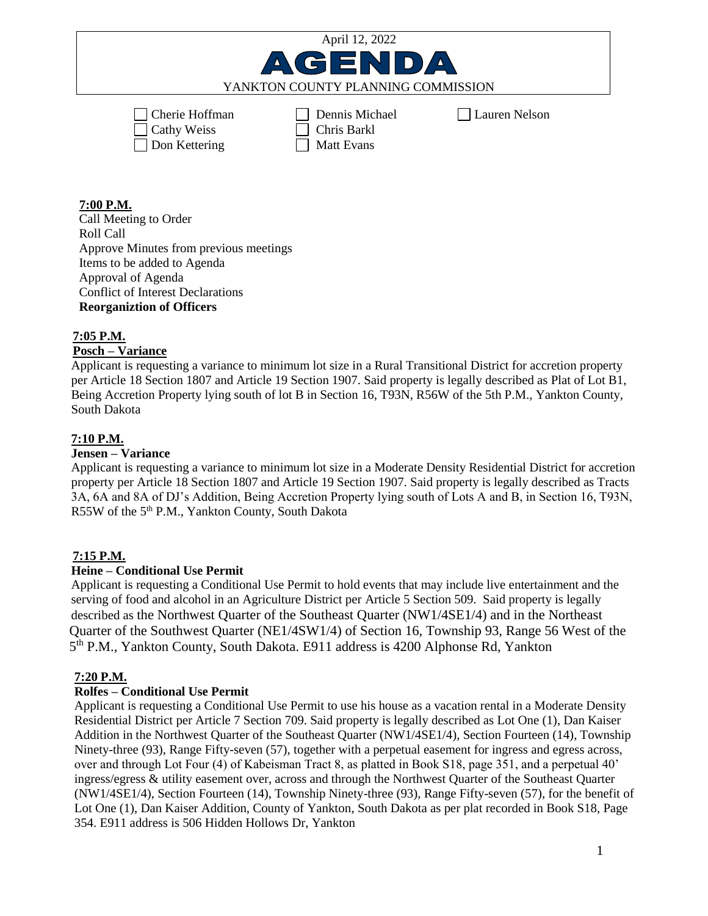| April 12, 2022                     |                |               |
|------------------------------------|----------------|---------------|
| AGENDA                             |                |               |
| YANKTON COUNTY PLANNING COMMISSION |                |               |
|                                    |                |               |
| $\Box$ Cherie Hoffman              | Dennis Michael | Lauren Nelson |
| $\Box$ Cathy Weiss                 | Chris Barkl    |               |
| Don Kettering                      | Matt Evans     |               |

### **7:00 P.M.**

Call Meeting to Order Roll Call Approve Minutes from previous meetings Items to be added to Agenda Approval of Agenda Conflict of Interest Declarations **Reorganiztion of Officers**

## **7:05 P.M.**

# **Posch – Variance**

Applicant is requesting a variance to minimum lot size in a Rural Transitional District for accretion property per Article 18 Section 1807 and Article 19 Section 1907. Said property is legally described as Plat of Lot B1, Being Accretion Property lying south of lot B in Section 16, T93N, R56W of the 5th P.M., Yankton County, South Dakota

### **7:10 P.M.**

#### **Jensen – Variance**

Applicant is requesting a variance to minimum lot size in a Moderate Density Residential District for accretion property per Article 18 Section 1807 and Article 19 Section 1907. Said property is legally described as Tracts 3A, 6A and 8A of DJ's Addition, Being Accretion Property lying south of Lots A and B, in Section 16, T93N, R55W of the 5<sup>th</sup> P.M., Yankton County, South Dakota

### **7:15 P.M.**

### **Heine – Conditional Use Permit**

Applicant is requesting a Conditional Use Permit to hold events that may include live entertainment and the serving of food and alcohol in an Agriculture District per Article 5 Section 509. Said property is legally described as the Northwest Quarter of the Southeast Quarter (NW1/4SE1/4) and in the Northeast Quarter of the Southwest Quarter (NE1/4SW1/4) of Section 16, Township 93, Range 56 West of the 5<sup>th</sup> P.M., Yankton County, South Dakota. E911 address is 4200 Alphonse Rd, Yankton

### **7:20 P.M.**

### **Rolfes – Conditional Use Permit**

 Applicant is requesting a Conditional Use Permit to use his house as a vacation rental in a Moderate Density Residential District per Article 7 Section 709. Said property is legally described as Lot One (1), Dan Kaiser Addition in the Northwest Quarter of the Southeast Quarter (NW1/4SE1/4), Section Fourteen (14), Township Ninety-three (93), Range Fifty-seven (57), together with a perpetual easement for ingress and egress across, over and through Lot Four (4) of Kabeisman Tract 8, as platted in Book S18, page 351, and a perpetual 40' ingress/egress & utility easement over, across and through the Northwest Quarter of the Southeast Quarter (NW1/4SE1/4), Section Fourteen (14), Township Ninety-three (93), Range Fifty-seven (57), for the benefit of Lot One (1), Dan Kaiser Addition, County of Yankton, South Dakota as per plat recorded in Book S18, Page 354. E911 address is 506 Hidden Hollows Dr, Yankton